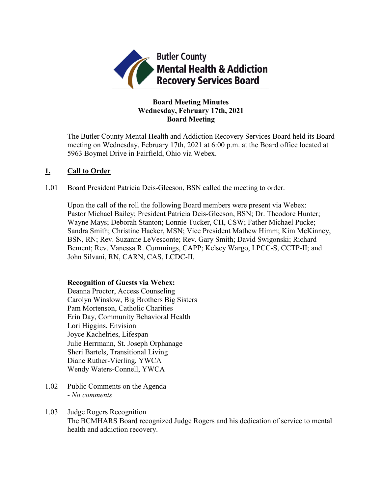

# **Board Meeting Minutes Wednesday, February 17th, 2021 Board Meeting**

The Butler County Mental Health and Addiction Recovery Services Board held its Board meeting on Wednesday, February 17th, 2021 at 6:00 p.m. at the Board office located at 5963 Boymel Drive in Fairfield, Ohio via Webex.

## **1. Call to Order**

1.01 Board President Patricia Deis-Gleeson, BSN called the meeting to order.

Upon the call of the roll the following Board members were present via Webex: Pastor Michael Bailey; President Patricia Deis-Gleeson, BSN; Dr. Theodore Hunter; Wayne Mays; Deborah Stanton; Lonnie Tucker, CH, CSW; Father Michael Pucke; Sandra Smith; Christine Hacker, MSN; Vice President Mathew Himm; Kim McKinney, BSN, RN; Rev. Suzanne LeVesconte; Rev. Gary Smith; David Swigonski; Richard Bement; Rev. Vanessa R. Cummings, CAPP; Kelsey Wargo, LPCC-S, CCTP-II; and John Silvani, RN, CARN, CAS, LCDC-II.

## **Recognition of Guests via Webex:**

Deanna Proctor, Access Counseling Carolyn Winslow, Big Brothers Big Sisters Pam Mortenson, Catholic Charities Erin Day, Community Behavioral Health Lori Higgins, Envision Joyce Kachelries, Lifespan Julie Herrmann, St. Joseph Orphanage Sheri Bartels, Transitional Living Diane Ruther-Vierling, YWCA Wendy Waters-Connell, YWCA

- 1.02 Public Comments on the Agenda - *No comments*
- 1.03 Judge Rogers Recognition The BCMHARS Board recognized Judge Rogers and his dedication of service to mental health and addiction recovery.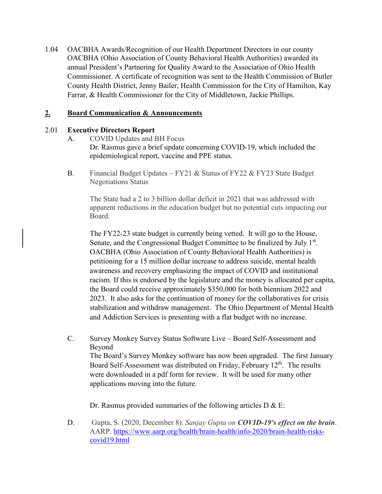1.04 OACBHA Awards/Recognition of our Health Department Directors in our county OACBHA (Ohio Association of County Behavioral Health Authorities) awarded its annual President's Partnering for Quality Award to the Association of Ohio Health Commissioner. A certificate of recognition was sent to the Health Commission of Butler County Health District, Jenny Bailer, Health Commission for the City of Hamilton, Kay Farrar, & Health Commissioner for the City of Middletown, Jackie Phillips.

# **2. Board Communication & Announcements**

# 2.01 **Executive Directors Report**

- A. COVID Updates and BH Focus Dr. Rasmus gave a brief update concerning COVID-19, which included the epidemiological report, vaccine and PPE status.
- B. Financial Budget Updates FY21 & Status of FY22 & FY23 State Budget Negotiations Status

The State had a 2 to 3 billion dollar deficit in 2021 that was addressed with apparent reductions in the education budget but no potential cuts impacting our Board.

The FY22-23 state budget is currently being vetted. It will go to the House, Senate, and the Congressional Budget Committee to be finalized by July 1<sup>st</sup>. OACBHA (Ohio Association of County Behavioral Health Authorities) is petitioning for a 15 million dollar increase to address suicide, mental health awareness and recovery emphasizing the impact of COVID and institutional racism. If this is endorsed by the legislature and the money is allocated per capita, the Board could receive approximately \$350,000 for both biennium 2022 and 2023. It also asks for the continuation of money for the collaboratives for crisis stabilization and withdraw management. The Ohio Department of Mental Health and Addiction Services is presenting with a flat budget with no increase.

C. Survey Monkey Survey Status Software Live – Board Self-Assessment and Beyond The Board's Survey Monkey software has now been upgraded. The first January Board Self-Assessment was distributed on Friday, February  $12<sup>th</sup>$ . The results were downloaded in a pdf form for review. It will be used for many other applications moving into the future.

Dr. Rasmus provided summaries of the following articles  $D \& E$ :

D. Gupta, S. (2020, December 8). *Sanjay Gupta on COVID-19's effect on the brain*. AARP. [https://www.aarp.org/health/brain-health/info-2020/brain-health-risks](https://www.aarp.org/health/brain-health/info-2020/brain-health-risks-covid19.html)[covid19.html](https://www.aarp.org/health/brain-health/info-2020/brain-health-risks-covid19.html)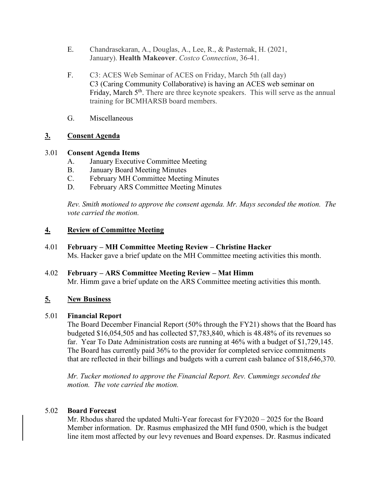- E. Chandrasekaran, A., Douglas, A., Lee, R., & Pasternak, H. (2021, January). **Health Makeover**. *Costco Connection*, 36-41.
- F. C3: ACES Web Seminar of ACES on Friday, March 5th (all day) C3 (Caring Community Collaborative) is having an ACES web seminar on Friday, March 5<sup>th</sup>. There are three keynote speakers. This will serve as the annual training for BCMHARSB board members.
- G. Miscellaneous

# **3. Consent Agenda**

# 3.01 **Consent Agenda Items**

- A. January Executive Committee Meeting
- B. January Board Meeting Minutes
- C. February MH Committee Meeting Minutes
- D. February ARS Committee Meeting Minutes

*Rev. Smith motioned to approve the consent agenda. Mr. Mays seconded the motion. The vote carried the motion.*

# **4. Review of Committee Meeting**

- 4.01 **February – MH Committee Meeting Review – Christine Hacker** Ms. Hacker gave a brief update on the MH Committee meeting activities this month.
- 4.02 **February – ARS Committee Meeting Review – Mat Himm** Mr. Himm gave a brief update on the ARS Committee meeting activities this month.

# **5. New Business**

# 5.01 **Financial Report**

The Board December Financial Report (50% through the FY21) shows that the Board has budgeted \$16,054,505 and has collected \$7,783,840, which is 48.48% of its revenues so far. Year To Date Administration costs are running at 46% with a budget of \$1,729,145. The Board has currently paid 36% to the provider for completed service commitments that are reflected in their billings and budgets with a current cash balance of \$18,646,370.

*Mr. Tucker motioned to approve the Financial Report. Rev. Cummings seconded the motion. The vote carried the motion.*

# 5.02 **Board Forecast**

Mr. Rhodus shared the updated Multi-Year forecast for FY2020 – 2025 for the Board Member information. Dr. Rasmus emphasized the MH fund 0500, which is the budget line item most affected by our levy revenues and Board expenses. Dr. Rasmus indicated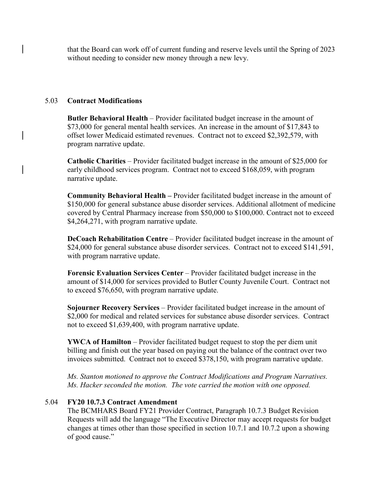that the Board can work off of current funding and reserve levels until the Spring of 2023 without needing to consider new money through a new levy.

## 5.03 **Contract Modifications**

**Butler Behavioral Health** – Provider facilitated budget increase in the amount of \$73,000 for general mental health services. An increase in the amount of \$17,843 to offset lower Medicaid estimated revenues. Contract not to exceed \$2,392,579, with program narrative update.

**Catholic Charities** – Provider facilitated budget increase in the amount of \$25,000 for early childhood services program. Contract not to exceed \$168,059, with program narrative update.

**Community Behavioral Health –** Provider facilitated budget increase in the amount of \$150,000 for general substance abuse disorder services. Additional allotment of medicine covered by Central Pharmacy increase from \$50,000 to \$100,000. Contract not to exceed \$4,264,271, with program narrative update.

**DeCoach Rehabilitation Centre** – Provider facilitated budget increase in the amount of \$24,000 for general substance abuse disorder services. Contract not to exceed \$141,591, with program narrative update.

**Forensic Evaluation Services Center** – Provider facilitated budget increase in the amount of \$14,000 for services provided to Butler County Juvenile Court. Contract not to exceed \$76,650, with program narrative update.

**Sojourner Recovery Services** – Provider facilitated budget increase in the amount of \$2,000 for medical and related services for substance abuse disorder services. Contract not to exceed \$1,639,400, with program narrative update.

**YWCA of Hamilton** – Provider facilitated budget request to stop the per diem unit billing and finish out the year based on paying out the balance of the contract over two invoices submitted. Contract not to exceed \$378,150, with program narrative update.

*Ms. Stanton motioned to approve the Contract Modifications and Program Narratives. Ms. Hacker seconded the motion. The vote carried the motion with one opposed.*

## 5.04 **FY20 10.7.3 Contract Amendment**

The BCMHARS Board FY21 Provider Contract, Paragraph 10.7.3 Budget Revision Requests will add the language "The Executive Director may accept requests for budget changes at times other than those specified in section 10.7.1 and 10.7.2 upon a showing of good cause."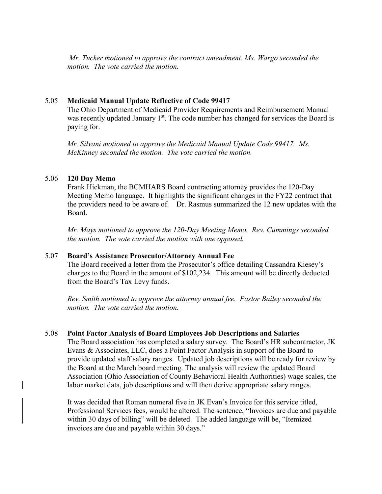*Mr. Tucker motioned to approve the contract amendment. Ms. Wargo seconded the motion. The vote carried the motion.*

## 5.05 **Medicaid Manual Update Reflective of Code 99417**

The Ohio Department of Medicaid Provider Requirements and Reimbursement Manual was recently updated January  $1<sup>st</sup>$ . The code number has changed for services the Board is paying for.

*Mr. Silvani motioned to approve the Medicaid Manual Update Code 99417. Ms. McKinney seconded the motion. The vote carried the motion.*

## 5.06 **120 Day Memo**

Frank Hickman, the BCMHARS Board contracting attorney provides the 120-Day Meeting Memo language. It highlights the significant changes in the FY22 contract that the providers need to be aware of. Dr. Rasmus summarized the 12 new updates with the Board.

*Mr. Mays motioned to approve the 120-Day Meeting Memo. Rev. Cummings seconded the motion. The vote carried the motion with one opposed.*

## 5.07 **Board's Assistance Prosecutor/Attorney Annual Fee**

The Board received a letter from the Prosecutor's office detailing Cassandra Kiesey's charges to the Board in the amount of \$102,234. This amount will be directly deducted from the Board's Tax Levy funds.

*Rev. Smith motioned to approve the attorney annual fee. Pastor Bailey seconded the motion. The vote carried the motion.* 

#### 5.08 **Point Factor Analysis of Board Employees Job Descriptions and Salaries**

The Board association has completed a salary survey. The Board's HR subcontractor, JK Evans & Associates, LLC, does a Point Factor Analysis in support of the Board to provide updated staff salary ranges. Updated job descriptions will be ready for review by the Board at the March board meeting. The analysis will review the updated Board Association (Ohio Association of County Behavioral Health Authorities) wage scales, the labor market data, job descriptions and will then derive appropriate salary ranges.

It was decided that Roman numeral five in JK Evan's Invoice for this service titled, Professional Services fees, would be altered. The sentence, "Invoices are due and payable within 30 days of billing" will be deleted. The added language will be, "Itemized invoices are due and payable within 30 days."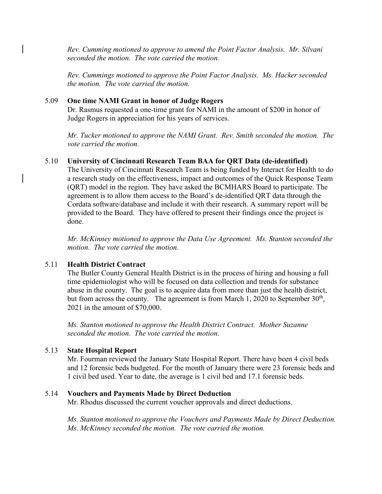*Rev. Cumming motioned to approve to amend the Point Factor Analysis. Mr. Silvani seconded the motion. The vote carried the motion.* 

*Rev. Cummings motioned to approve the Point Factor Analysis. Ms. Hacker seconded the motion. The vote carried the motion.*

## 5.09 **One time NAMI Grant in honor of Judge Rogers**

Dr. Rasmus requested a one-time grant for NAMI in the amount of \$200 in honor of Judge Rogers in appreciation for his years of services.

*Mr. Tucker motioned to approve the NAMI Grant. Rev. Smith seconded the motion. The vote carried the motion.*

## 5.10 **University of Cincinnati Research Team BAA for QRT Data (de-identified)**

The University of Cincinnati Research Team is being funded by Interact for Health to do a research study on the effectiveness, impact and outcomes of the Quick Response Team (QRT) model in the region. They have asked the BCMHARS Board to participate. The agreement is to allow them access to the Board's de-identified QRT data through the Cordata software/database and include it with their research. A summary report will be provided to the Board. They have offered to present their findings once the project is done.

*Mr. McKinney motioned to approve the Data Use Agreement. Ms. Stanton seconded the motion. The vote carried the motion.* 

#### 5.11 **Health District Contract**

The Butler County General Health District is in the process of hiring and housing a full time epidemiologist who will be focused on data collection and trends for substance abuse in the county. The goal is to acquire data from more than just the health district, but from across the county. The agreement is from March 1, 2020 to September  $30<sup>th</sup>$ , 2021 in the amount of \$70,000.

*Ms. Stanton motioned to approve the Health District Contract. Mother Suzanne seconded the motion. The vote carried the motion.* 

#### 5.13 **State Hospital Report**

Mr. Fourman reviewed the January State Hospital Report. There have been 4 civil beds and 12 forensic beds budgeted. For the month of January there were 23 forensic beds and 1 civil bed used. Year to date, the average is 1 civil bed and 17.1 forensic beds.

#### 5.14 **Vouchers and Payments Made by Direct Deduction**

Mr. Rhodus discussed the current voucher approvals and direct deductions.

*Ms. Stanton motioned to approve the Vouchers and Payments Made by Direct Deduction. Ms. McKinney seconded the motion. The vote carried the motion.*